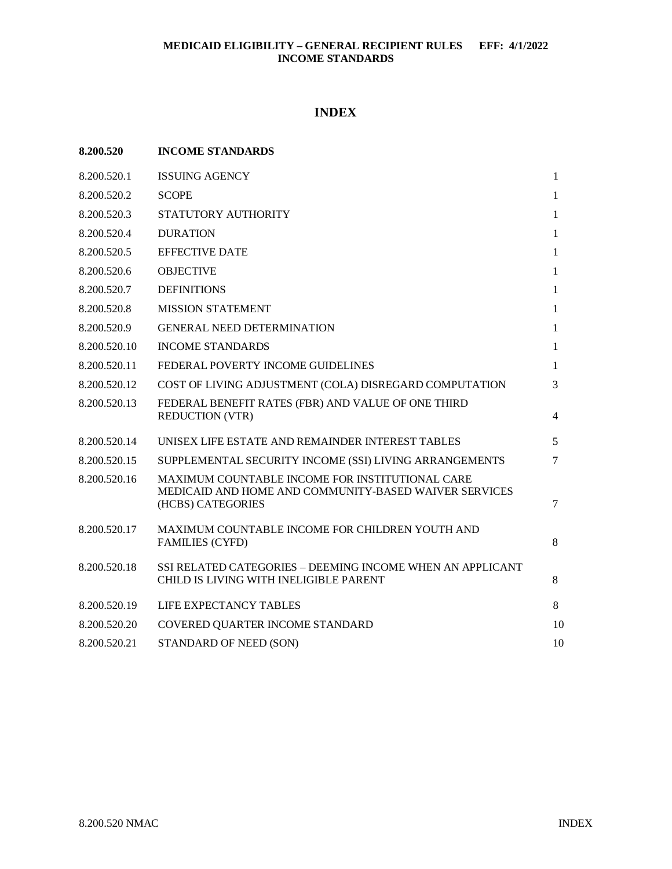# **INDEX**

| 8.200.520    | <b>INCOME STANDARDS</b>                                                                                                       |              |
|--------------|-------------------------------------------------------------------------------------------------------------------------------|--------------|
| 8.200.520.1  | <b>ISSUING AGENCY</b>                                                                                                         | $\mathbf{1}$ |
| 8.200.520.2  | <b>SCOPE</b>                                                                                                                  | 1            |
| 8.200.520.3  | STATUTORY AUTHORITY                                                                                                           | $\mathbf{1}$ |
| 8.200.520.4  | <b>DURATION</b>                                                                                                               | $\mathbf{1}$ |
| 8.200.520.5  | <b>EFFECTIVE DATE</b>                                                                                                         | $\mathbf{1}$ |
| 8.200.520.6  | <b>OBJECTIVE</b>                                                                                                              | $\mathbf{1}$ |
| 8.200.520.7  | <b>DEFINITIONS</b>                                                                                                            | $\mathbf{1}$ |
| 8.200.520.8  | <b>MISSION STATEMENT</b>                                                                                                      | $\mathbf{1}$ |
| 8.200.520.9  | <b>GENERAL NEED DETERMINATION</b>                                                                                             | $\mathbf{1}$ |
| 8.200.520.10 | <b>INCOME STANDARDS</b>                                                                                                       | $\mathbf{1}$ |
| 8.200.520.11 | FEDERAL POVERTY INCOME GUIDELINES                                                                                             | 1            |
| 8.200.520.12 | COST OF LIVING ADJUSTMENT (COLA) DISREGARD COMPUTATION                                                                        | 3            |
| 8.200.520.13 | FEDERAL BENEFIT RATES (FBR) AND VALUE OF ONE THIRD<br><b>REDUCTION (VTR)</b>                                                  | 4            |
| 8.200.520.14 | UNISEX LIFE ESTATE AND REMAINDER INTEREST TABLES                                                                              | 5            |
| 8.200.520.15 | SUPPLEMENTAL SECURITY INCOME (SSI) LIVING ARRANGEMENTS                                                                        | 7            |
| 8.200.520.16 | MAXIMUM COUNTABLE INCOME FOR INSTITUTIONAL CARE<br>MEDICAID AND HOME AND COMMUNITY-BASED WAIVER SERVICES<br>(HCBS) CATEGORIES | $\tau$       |
| 8.200.520.17 | MAXIMUM COUNTABLE INCOME FOR CHILDREN YOUTH AND<br><b>FAMILIES (CYFD)</b>                                                     | 8            |
| 8.200.520.18 | SSI RELATED CATEGORIES - DEEMING INCOME WHEN AN APPLICANT<br>CHILD IS LIVING WITH INELIGIBLE PARENT                           | 8            |
| 8.200.520.19 | LIFE EXPECTANCY TABLES                                                                                                        | 8            |
| 8.200.520.20 | COVERED QUARTER INCOME STANDARD                                                                                               | 10           |
| 8.200.520.21 | STANDARD OF NEED (SON)                                                                                                        | 10           |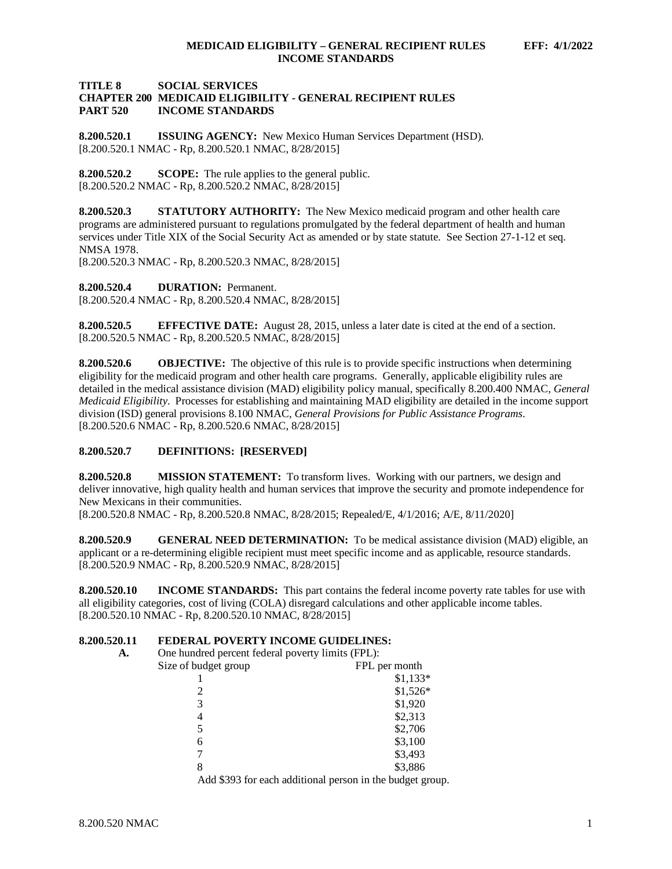# **TITLE 8 SOCIAL SERVICES CHAPTER 200 MEDICAID ELIGIBILITY - GENERAL RECIPIENT RULES INCOME STANDARDS**

<span id="page-1-0"></span>**8.200.520.1 ISSUING AGENCY:** New Mexico Human Services Department (HSD). [8.200.520.1 NMAC - Rp, 8.200.520.1 NMAC, 8/28/2015]

<span id="page-1-1"></span>**8.200.520.2 SCOPE:** The rule applies to the general public. [8.200.520.2 NMAC - Rp, 8.200.520.2 NMAC, 8/28/2015]

<span id="page-1-2"></span>**8.200.520.3 STATUTORY AUTHORITY:** The New Mexico medicaid program and other health care programs are administered pursuant to regulations promulgated by the federal department of health and human services under Title XIX of the Social Security Act as amended or by state statute. See Section 27-1-12 et seq. NMSA 1978.

[8.200.520.3 NMAC - Rp, 8.200.520.3 NMAC, 8/28/2015]

<span id="page-1-3"></span>**8.200.520.4 DURATION:** Permanent. [8.200.520.4 NMAC - Rp, 8.200.520.4 NMAC, 8/28/2015]

<span id="page-1-4"></span>**8.200.520.5 EFFECTIVE DATE:** August 28, 2015, unless a later date is cited at the end of a section. [8.200.520.5 NMAC - Rp, 8.200.520.5 NMAC, 8/28/2015]

<span id="page-1-5"></span>**8.200.520.6 OBJECTIVE:** The objective of this rule is to provide specific instructions when determining eligibility for the medicaid program and other health care programs. Generally, applicable eligibility rules are detailed in the medical assistance division (MAD) eligibility policy manual, specifically 8.200.400 NMAC, *General Medicaid Eligibility*. Processes for establishing and maintaining MAD eligibility are detailed in the income support division (ISD) general provisions 8.100 NMAC, *General Provisions for Public Assistance Programs*. [8.200.520.6 NMAC - Rp, 8.200.520.6 NMAC, 8/28/2015]

# <span id="page-1-6"></span>**8.200.520.7 DEFINITIONS: [RESERVED]**

<span id="page-1-7"></span>**8.200.520.8 MISSION STATEMENT:** To transform lives. Working with our partners, we design and deliver innovative, high quality health and human services that improve the security and promote independence for New Mexicans in their communities.

[8.200.520.8 NMAC - Rp, 8.200.520.8 NMAC, 8/28/2015; Repealed/E, 4/1/2016; A/E, 8/11/2020]

<span id="page-1-8"></span>**8.200.520.9 GENERAL NEED DETERMINATION:** To be medical assistance division (MAD) eligible, an applicant or a re-determining eligible recipient must meet specific income and as applicable, resource standards. [8.200.520.9 NMAC - Rp, 8.200.520.9 NMAC, 8/28/2015]

<span id="page-1-9"></span>**8.200.520.10 INCOME STANDARDS:** This part contains the federal income poverty rate tables for use with all eligibility categories, cost of living (COLA) disregard calculations and other applicable income tables. [8.200.520.10 NMAC - Rp, 8.200.520.10 NMAC, 8/28/2015]

# <span id="page-1-10"></span>**8.200.520.11 <b>FEDERAL POVERTY INCOME GUIDELINES:**<br>A. One hundred percent federal poverty limits (FPL):

One hundred percent federal poverty limits (FPL):

| Size of budget group | FPL per month                                             |
|----------------------|-----------------------------------------------------------|
|                      | $$1,133*$                                                 |
|                      | $$1,526*$                                                 |
| 3                    | \$1,920                                                   |
| 4                    | \$2,313                                                   |
| 5                    | \$2,706                                                   |
| 6                    | \$3,100                                                   |
|                      | \$3,493                                                   |
| 8                    | \$3,886                                                   |
|                      | Add \$393 for each additional person in the budget group. |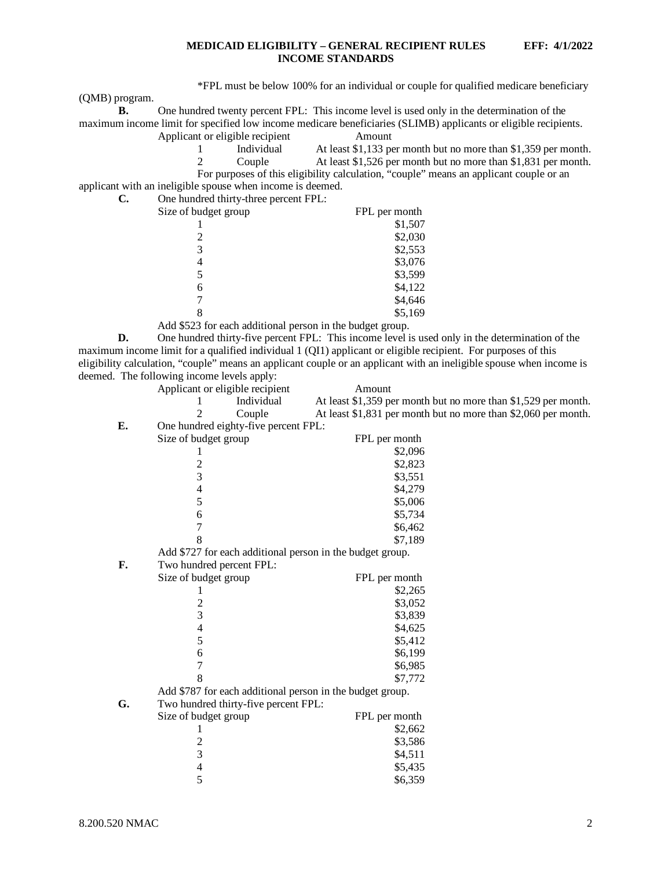\*FPL must be below 100% for an individual or couple for qualified medicare beneficiary

(QMB) program.

| One hundred twenty percent FPL: This income level is used only in the determination of the                      |        |  |
|-----------------------------------------------------------------------------------------------------------------|--------|--|
| maximum income limit for specified low income medicare beneficiaries (SLIMB) applicants or eligible recipients. |        |  |
| Applicant or eligible recipient                                                                                 | Amount |  |

| Individual | At least \$1,133 per month but no more than \$1,359 per month.                         |
|------------|----------------------------------------------------------------------------------------|
| Couple     | At least \$1,526 per month but no more than \$1,831 per month.                         |
|            | For purposes of this eligibility calculation, "couple" means an applicant couple or an |

applicant with an ineligible spouse when income is deemed.

| C. | One hundred thirty-three percent FPL:               |               |
|----|-----------------------------------------------------|---------------|
|    | Size of budget group                                | FPL per month |
|    |                                                     | \$1,507       |
|    |                                                     | \$2,030       |
|    |                                                     | \$2,553       |
|    | 4                                                   | \$3,076       |
|    |                                                     | \$3,599       |
|    | 6                                                   | \$4,122       |
|    |                                                     | \$4,646       |
|    |                                                     | \$5,169       |
|    | $\cdot$ $\cdot$ $\cdot$ $\sim$ $\sim$ $\sim$ $\sim$ |               |

Add \$523 for each additional person in the budget group.

**D.** One hundred thirty-five percent FPL: This income level is used only in the determination of the maximum income limit for a qualified individual 1 (QI1) applicant or eligible recipient. For purposes of this eligibility calculation, "couple" means an applicant couple or an applicant with an ineligible spouse when income is deemed. The following income levels apply: Applicant or eligible recipient Amount

| icant or engible recipient                  | Amount                                                         |
|---------------------------------------------|----------------------------------------------------------------|
| Individual                                  | At least \$1,359 per month but no more than \$1,529 per month. |
| Couple                                      | At least \$1,831 per month but no more than \$2,060 per month. |
| $1 \quad 1 \quad 1 \quad 1 \quad 0 \quad 1$ |                                                                |

**E.** One hundred eighty-five percent FPL:

|    | Size of budget group                                      | FPL per month |
|----|-----------------------------------------------------------|---------------|
|    |                                                           | \$2,096       |
|    |                                                           | \$2,823       |
|    | $\frac{2}{3}$                                             | \$3,551       |
|    | $\overline{\mathcal{L}}$                                  | \$4,279       |
|    | 5                                                         | \$5,006       |
|    | 6                                                         | \$5,734       |
|    | 7                                                         | \$6,462       |
|    | 8                                                         | \$7,189       |
|    | Add \$727 for each additional person in the budget group. |               |
| F. | Two hundred percent FPL:                                  |               |
|    | Size of budget group                                      | FPL per month |
|    | 1                                                         | \$2,265       |
|    |                                                           | \$3,052       |
|    | $\frac{2}{3}$                                             | \$3,839       |
|    | $\overline{\mathcal{L}}$                                  | \$4,625       |
|    | 5                                                         | \$5,412       |
|    | 6                                                         | \$6,199       |
|    | $\overline{7}$                                            | \$6,985       |
|    | 8                                                         | \$7,772       |
|    | Add \$787 for each additional person in the budget group. |               |
| G. | Two hundred thirty-five percent FPL:                      |               |
|    | Size of budget group                                      | FPL per month |
|    | 1                                                         | \$2,662       |
|    | $\overline{c}$                                            | \$3,586       |
|    | 3                                                         | \$4,511       |
|    | $\overline{4}$                                            | \$5,435       |
|    | 5                                                         | \$6,359       |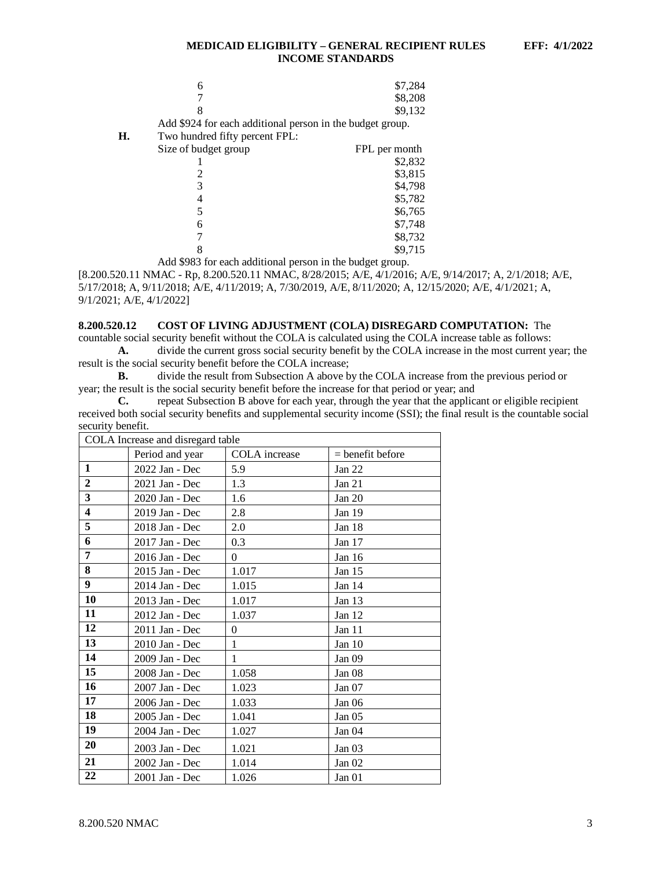|    | 6                                                         | \$7,284       |
|----|-----------------------------------------------------------|---------------|
|    |                                                           | \$8,208       |
|    | 8                                                         | \$9,132       |
|    | Add \$924 for each additional person in the budget group. |               |
| Н. | Two hundred fifty percent FPL:                            |               |
|    | Size of budget group                                      | FPL per month |
|    |                                                           | \$2,832       |
|    |                                                           | \$3,815       |
|    | 3                                                         | \$4,798       |
|    | 4                                                         | \$5,782       |
|    | 5                                                         | \$6,765       |
|    | 6                                                         | \$7,748       |
|    |                                                           | \$8,732       |
|    |                                                           | \$9,715       |
|    | Add \$983 for each additional person in the budget group. |               |

[8.200.520.11 NMAC - Rp, 8.200.520.11 NMAC, 8/28/2015; A/E, 4/1/2016; A/E, 9/14/2017; A, 2/1/2018; A/E, 5/17/2018; A, 9/11/2018; A/E, 4/11/2019; A, 7/30/2019, A/E, 8/11/2020; A, 12/15/2020; A/E, 4/1/2021; A, 9/1/2021; A/E, 4/1/2022]

# <span id="page-3-0"></span>**8.200.520.12 COST OF LIVING ADJUSTMENT (COLA) DISREGARD COMPUTATION:** The

countable social security benefit without the COLA is calculated using the COLA increase table as follows: **A.** divide the current gross social security benefit by the COLA increase in the most current year; the result is the social security benefit before the COLA increase;

**B.** divide the result from Subsection A above by the COLA increase from the previous period or year; the result is the social security benefit before the increase for that period or year; and

**C.** repeat Subsection B above for each year, through the year that the applicant or eligible recipient received both social security benefits and supplemental security income (SSI); the final result is the countable social security benefit.

|                         | COLA Increase and disregard table |               |                    |  |  |  |
|-------------------------|-----------------------------------|---------------|--------------------|--|--|--|
|                         | Period and year                   | COLA increase | $=$ benefit before |  |  |  |
| 1                       | 2022 Jan - Dec                    | 5.9           | Jan $22$           |  |  |  |
| $\overline{2}$          | 2021 Jan - Dec                    | 1.3           | Jan $21$           |  |  |  |
| 3                       | 2020 Jan - Dec                    | 1.6           | Jan $20$           |  |  |  |
| $\overline{\mathbf{4}}$ | 2019 Jan - Dec                    | 2.8           | Jan 19             |  |  |  |
| 5                       | 2018 Jan - Dec                    | 2.0           | Jan 18             |  |  |  |
| 6                       | 2017 Jan - Dec                    | 0.3           | Jan 17             |  |  |  |
| 7                       | 2016 Jan - Dec                    | $\theta$      | Jan 16             |  |  |  |
| 8                       | 2015 Jan - Dec                    | 1.017         | Jan 15             |  |  |  |
| 9                       | 2014 Jan - Dec                    | 1.015         | Jan 14             |  |  |  |
| 10                      | 2013 Jan - Dec                    | 1.017         | Jan $13$           |  |  |  |
| 11                      | 2012 Jan - Dec                    | 1.037         | Jan 12             |  |  |  |
| 12                      | 2011 Jan - Dec                    | $\theta$      | Jan 11             |  |  |  |
| 13                      | 2010 Jan - Dec                    | 1             | Jan 10             |  |  |  |
| 14                      | 2009 Jan - Dec                    | 1             | Jan <sub>09</sub>  |  |  |  |
| 15                      | 2008 Jan - Dec                    | 1.058         | Jan 08             |  |  |  |
| 16                      | 2007 Jan - Dec                    | 1.023         | Jan 07             |  |  |  |
| 17                      | 2006 Jan - Dec                    | 1.033         | Jan $06$           |  |  |  |
| 18                      | 2005 Jan - Dec                    | 1.041         | Jan <sub>05</sub>  |  |  |  |
| 19                      | 2004 Jan - Dec                    | 1.027         | Jan 04             |  |  |  |
| 20                      | 2003 Jan - Dec                    | 1.021         | Jan 03             |  |  |  |
| 21                      | 2002 Jan - Dec                    | 1.014         | Jan $02$           |  |  |  |
| 22                      | 2001 Jan - Dec                    | 1.026         | Jan 01             |  |  |  |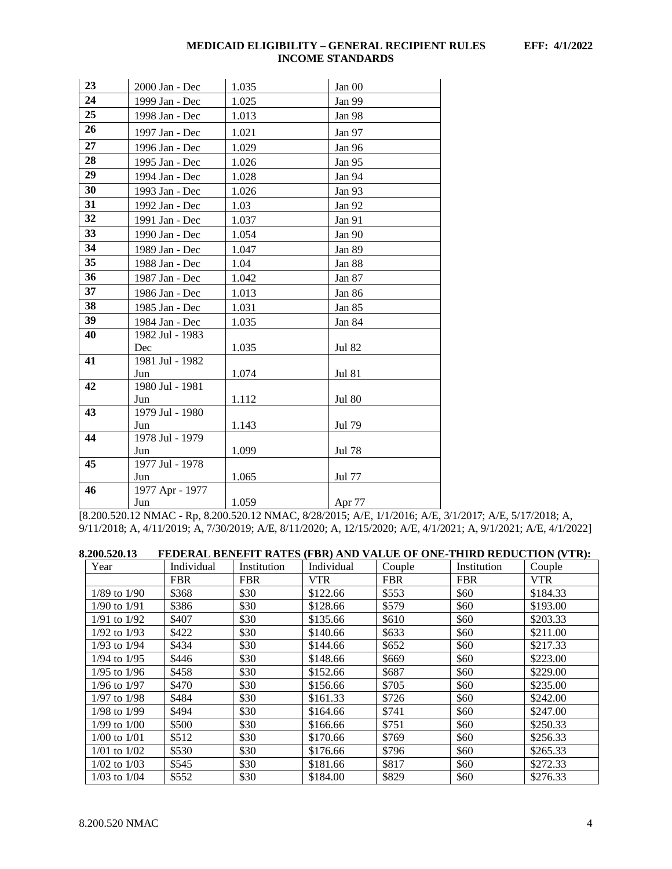| 23 | 2000 Jan - Dec  | 1.035 | Jan 00        |
|----|-----------------|-------|---------------|
| 24 | 1999 Jan - Dec  | 1.025 | Jan 99        |
| 25 | 1998 Jan - Dec  | 1.013 | <b>Jan 98</b> |
| 26 | 1997 Jan - Dec  | 1.021 | Jan 97        |
| 27 | 1996 Jan - Dec  | 1.029 | Jan 96        |
| 28 | 1995 Jan - Dec  | 1.026 | Jan 95        |
| 29 | 1994 Jan - Dec  | 1.028 | Jan 94        |
| 30 | 1993 Jan - Dec  | 1.026 | Jan 93        |
| 31 | 1992 Jan - Dec  | 1.03  | Jan 92        |
| 32 | 1991 Jan - Dec  | 1.037 | Jan 91        |
| 33 | 1990 Jan - Dec  | 1.054 | Jan 90        |
| 34 | 1989 Jan - Dec  | 1.047 | Jan 89        |
| 35 | 1988 Jan - Dec  | 1.04  | Jan 88        |
| 36 | 1987 Jan - Dec  | 1.042 | Jan 87        |
| 37 | 1986 Jan - Dec  | 1.013 | Jan 86        |
| 38 | 1985 Jan - Dec  | 1.031 | Jan 85        |
| 39 | 1984 Jan - Dec  | 1.035 | Jan 84        |
| 40 | 1982 Jul - 1983 |       |               |
|    | Dec             | 1.035 | <b>Jul 82</b> |
| 41 | 1981 Jul - 1982 |       |               |
|    | Jun             | 1.074 | <b>Jul 81</b> |
| 42 | 1980 Jul - 1981 |       |               |
|    | Jun             | 1.112 | <b>Jul 80</b> |
| 43 | 1979 Jul - 1980 |       |               |
|    | Jun             | 1.143 | Jul 79        |
| 44 | 1978 Jul - 1979 |       |               |
|    | Jun             | 1.099 | <b>Jul 78</b> |
| 45 | 1977 Jul - 1978 |       |               |
|    | Jun             | 1.065 | Jul 77        |
| 46 | 1977 Apr - 1977 |       |               |
|    | Jun             | 1.059 | Apr 77        |

[8.200.520.12 NMAC - Rp, 8.200.520.12 NMAC, 8/28/2015; A/E, 1/1/2016; A/E, 3/1/2017; A/E, 5/17/2018; A, 9/11/2018; A, 4/11/2019; A, 7/30/2019; A/E, 8/11/2020; A, 12/15/2020; A/E, 4/1/2021; A, 9/1/2021; A/E, 4/1/2022]

<span id="page-4-0"></span>

| 8.200.520.13     |            |             |            | FEDERAL BENEFIT RATES (FBR) AND VALUE OF ONE-THIRD REDUCTION (VTR): |             |            |
|------------------|------------|-------------|------------|---------------------------------------------------------------------|-------------|------------|
| Year             | Individual | Institution | Individual | Couple                                                              | Institution | Couple     |
|                  | <b>FBR</b> | <b>FBR</b>  | <b>VTR</b> | <b>FBR</b>                                                          | <b>FBR</b>  | <b>VTR</b> |
| $1/89$ to $1/90$ | \$368      | \$30        | \$122.66   | \$553                                                               | \$60        | \$184.33   |
| $1/90$ to $1/91$ | \$386      | \$30        | \$128.66   | \$579                                                               | \$60        | \$193.00   |
| $1/91$ to $1/92$ | \$407      | \$30        | \$135.66   | \$610                                                               | \$60        | \$203.33   |
| $1/92$ to $1/93$ | \$422      | \$30        | \$140.66   | \$633                                                               | \$60        | \$211.00   |
| $1/93$ to $1/94$ | \$434      | \$30        | \$144.66   | \$652                                                               | \$60        | \$217.33   |
| $1/94$ to $1/95$ | \$446      | \$30        | \$148.66   | \$669                                                               | \$60        | \$223.00   |
| $1/95$ to $1/96$ | \$458      | \$30        | \$152.66   | \$687                                                               | \$60        | \$229.00   |
| $1/96$ to $1/97$ | \$470      | \$30        | \$156.66   | \$705                                                               | \$60        | \$235.00   |
| $1/97$ to $1/98$ | \$484      | \$30        | \$161.33   | \$726                                                               | \$60        | \$242.00   |
| $1/98$ to $1/99$ | \$494      | \$30        | \$164.66   | \$741                                                               | \$60        | \$247.00   |
| $1/99$ to $1/00$ | \$500      | \$30        | \$166.66   | \$751                                                               | \$60        | \$250.33   |
| $1/00$ to $1/01$ | \$512      | \$30        | \$170.66   | \$769                                                               | \$60        | \$256.33   |
| $1/01$ to $1/02$ | \$530      | \$30        | \$176.66   | \$796                                                               | \$60        | \$265.33   |
| $1/02$ to $1/03$ | \$545      | \$30        | \$181.66   | \$817                                                               | \$60        | \$272.33   |
| $1/03$ to $1/04$ | \$552      | \$30        | \$184.00   | \$829                                                               | \$60        | \$276.33   |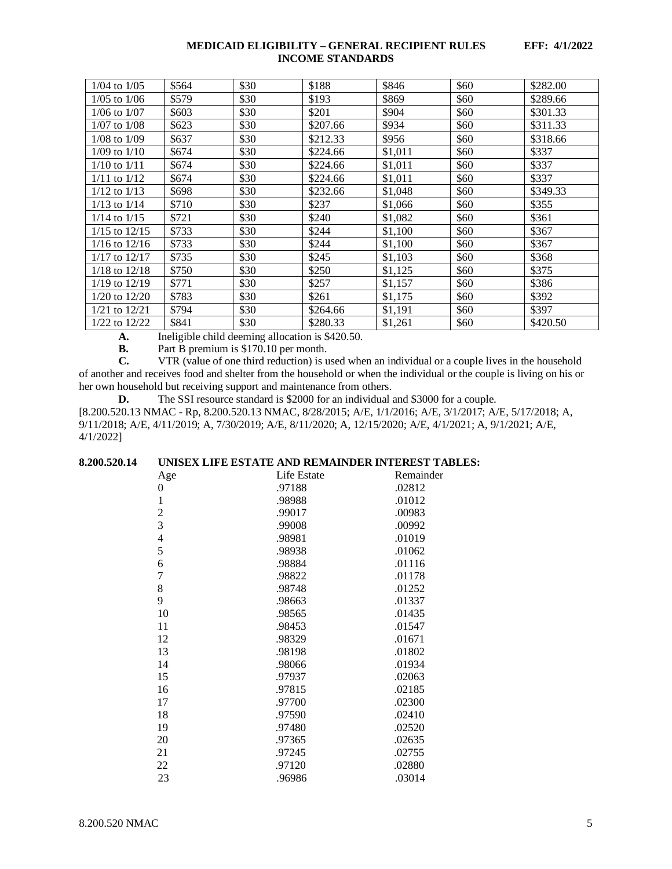| $1/04$ to $1/05$  | \$564 | \$30 | \$188    | \$846   | \$60 | \$282.00 |
|-------------------|-------|------|----------|---------|------|----------|
|                   |       |      |          |         |      |          |
| $1/05$ to $1/06$  | \$579 | \$30 | \$193    | \$869   | \$60 | \$289.66 |
| $1/06$ to $1/07$  | \$603 | \$30 | \$201    | \$904   | \$60 | \$301.33 |
| $1/07$ to $1/08$  | \$623 | \$30 | \$207.66 | \$934   | \$60 | \$311.33 |
| $1/08$ to $1/09$  | \$637 | \$30 | \$212.33 | \$956   | \$60 | \$318.66 |
| $1/09$ to $1/10$  | \$674 | \$30 | \$224.66 | \$1,011 | \$60 | \$337    |
| $1/10$ to $1/11$  | \$674 | \$30 | \$224.66 | \$1,011 | \$60 | \$337    |
| $1/11$ to $1/12$  | \$674 | \$30 | \$224.66 | \$1,011 | \$60 | \$337    |
| $1/12$ to $1/13$  | \$698 | \$30 | \$232.66 | \$1,048 | \$60 | \$349.33 |
| $1/13$ to $1/14$  | \$710 | \$30 | \$237    | \$1,066 | \$60 | \$355    |
| $1/14$ to $1/15$  | \$721 | \$30 | \$240    | \$1,082 | \$60 | \$361    |
| $1/15$ to $12/15$ | \$733 | \$30 | \$244    | \$1,100 | \$60 | \$367    |
| $1/16$ to $12/16$ | \$733 | \$30 | \$244    | \$1,100 | \$60 | \$367    |
| $1/17$ to $12/17$ | \$735 | \$30 | \$245    | \$1,103 | \$60 | \$368    |
| $1/18$ to $12/18$ | \$750 | \$30 | \$250    | \$1,125 | \$60 | \$375    |
| $1/19$ to $12/19$ | \$771 | \$30 | \$257    | \$1,157 | \$60 | \$386    |
| $1/20$ to $12/20$ | \$783 | \$30 | \$261    | \$1,175 | \$60 | \$392    |
| $1/21$ to $12/21$ | \$794 | \$30 | \$264.66 | \$1,191 | \$60 | \$397    |
| $1/22$ to $12/22$ | \$841 | \$30 | \$280.33 | \$1,261 | \$60 | \$420.50 |

**A.** Ineligible child deeming allocation is \$420.50.

**B.** Part B premium is \$170.10 per month.<br>**C.** VTR (value of one third reduction) is u

**C.** VTR (value of one third reduction) is used when an individual or a couple lives in the household of another and receives food and shelter from the household or when the individual or the couple is living on his or her own household but receiving support and maintenance from others.

**D.** The SSI resource standard is \$2000 for an individual and \$3000 for a couple. [8.200.520.13 NMAC - Rp, 8.200.520.13 NMAC, 8/28/2015; A/E, 1/1/2016; A/E, 3/1/2017; A/E, 5/17/2018; A, 9/11/2018; A/E, 4/11/2019; A, 7/30/2019; A/E, 8/11/2020; A, 12/15/2020; A/E, 4/1/2021; A, 9/1/2021; A/E, 4/1/2022]

# <span id="page-5-0"></span>**8.200.520.14 UNISEX LIFE ESTATE AND REMAINDER INTEREST TABLES:**

| Age            | Life Estate | Remainder |
|----------------|-------------|-----------|
| 0              | .97188      | .02812    |
| $\mathbf{1}$   | .98988      | .01012    |
| $\overline{c}$ | .99017      | .00983    |
| $\overline{3}$ | .99008      | .00992    |
| $\overline{4}$ | .98981      | .01019    |
| 5              | .98938      | .01062    |
| 6              | .98884      | .01116    |
| $\overline{7}$ | .98822      | .01178    |
| 8              | .98748      | .01252    |
| 9              | .98663      | .01337    |
| 10             | .98565      | .01435    |
| 11             | .98453      | .01547    |
| 12             | .98329      | .01671    |
| 13             | .98198      | .01802    |
| 14             | .98066      | .01934    |
| 15             | .97937      | .02063    |
| 16             | .97815      | .02185    |
| 17             | .97700      | .02300    |
| 18             | .97590      | .02410    |
| 19             | .97480      | .02520    |
| 20             | .97365      | .02635    |
| 21             | .97245      | .02755    |
| 22             | .97120      | .02880    |
| 23             | .96986      | .03014    |
|                |             |           |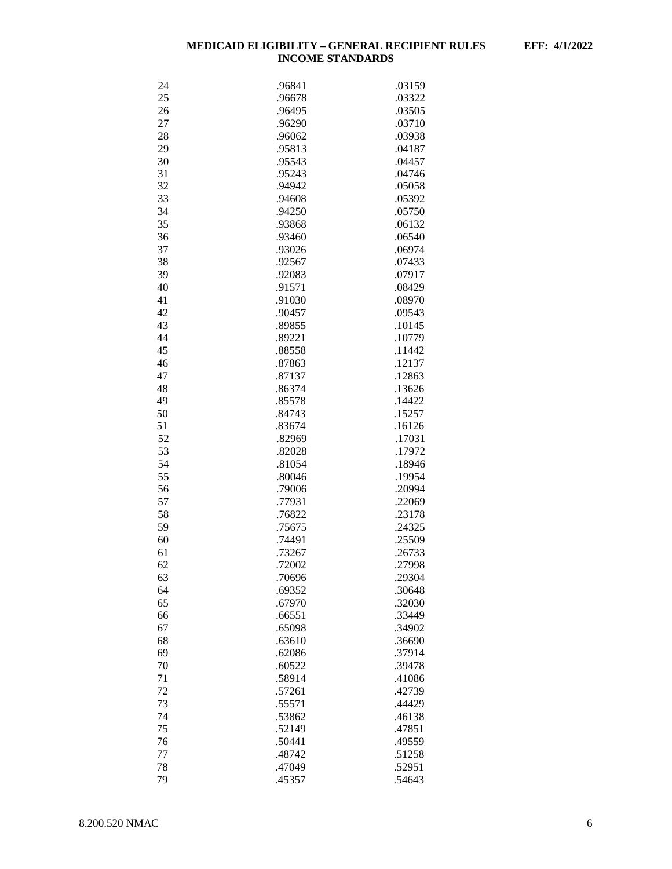| 24 | .96841 | .03159 |
|----|--------|--------|
|    |        |        |
| 25 | .96678 | .03322 |
| 26 | .96495 | .03505 |
| 27 | .96290 | .03710 |
| 28 | .96062 | .03938 |
| 29 | .95813 | .04187 |
| 30 | .95543 | .04457 |
| 31 | .95243 | .04746 |
| 32 | .94942 | .05058 |
|    |        | .05392 |
| 33 | .94608 |        |
| 34 | .94250 | .05750 |
| 35 | .93868 | .06132 |
| 36 | .93460 | .06540 |
| 37 | .93026 | .06974 |
| 38 | .92567 | .07433 |
| 39 | .92083 | .07917 |
| 40 | .91571 | .08429 |
| 41 | .91030 | .08970 |
| 42 | .90457 | .09543 |
|    |        |        |
| 43 | .89855 | .10145 |
| 44 | .89221 | .10779 |
| 45 | .88558 | .11442 |
| 46 | .87863 | .12137 |
| 47 | .87137 | .12863 |
| 48 | .86374 | .13626 |
| 49 | .85578 | .14422 |
| 50 | .84743 | .15257 |
| 51 | .83674 | .16126 |
| 52 | .82969 | .17031 |
| 53 | .82028 | .17972 |
|    |        |        |
| 54 | .81054 | .18946 |
| 55 | .80046 | .19954 |
| 56 | .79006 | .20994 |
| 57 | .77931 | .22069 |
| 58 | .76822 | .23178 |
| 59 | .75675 | .24325 |
| 60 | .74491 | .25509 |
| 61 | .73267 | .26733 |
| 62 | .72002 | .27998 |
| 63 | .70696 | .29304 |
|    | .69352 |        |
| 64 |        | .30648 |
| 65 | .67970 | .32030 |
| 66 | .66551 | .33449 |
| 67 | .65098 | .34902 |
| 68 | .63610 | .36690 |
| 69 | .62086 | .37914 |
| 70 | .60522 | .39478 |
| 71 | .58914 | .41086 |
| 72 | .57261 | .42739 |
| 73 | .55571 | .44429 |
| 74 | .53862 | .46138 |
|    |        |        |
| 75 | .52149 | .47851 |
| 76 | .50441 | .49559 |
| 77 | .48742 | .51258 |
| 78 | .47049 | .52951 |
| 79 | .45357 | .54643 |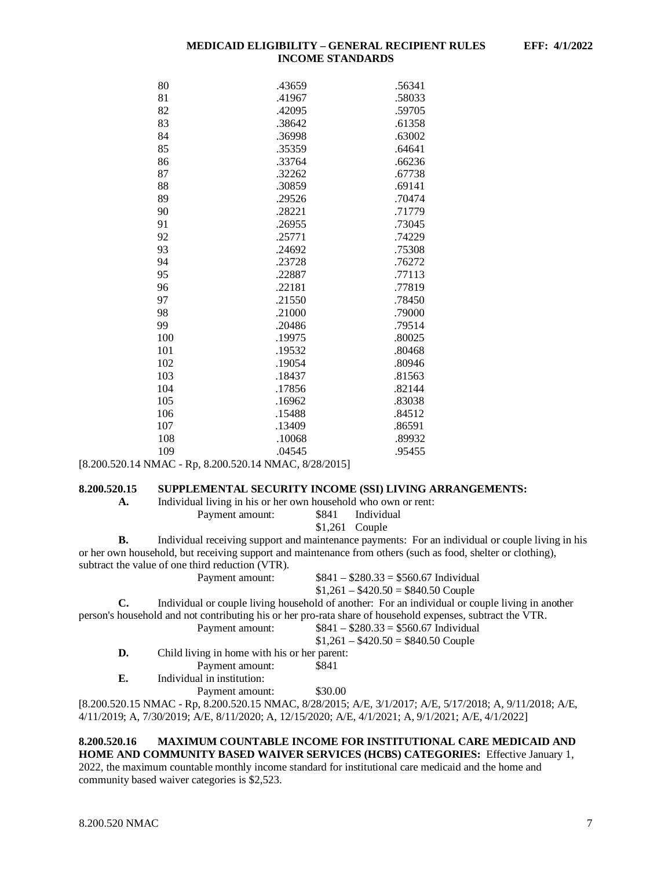| 80  | .43659 | .56341 |
|-----|--------|--------|
| 81  | .41967 | .58033 |
| 82  | .42095 | .59705 |
| 83  | .38642 | .61358 |
| 84  | .36998 | .63002 |
| 85  | .35359 | .64641 |
| 86  | .33764 | .66236 |
| 87  | .32262 | .67738 |
| 88  | .30859 | .69141 |
| 89  | .29526 | .70474 |
| 90  | .28221 | .71779 |
| 91  | .26955 | .73045 |
| 92  | .25771 | .74229 |
| 93  | .24692 | .75308 |
| 94  | .23728 | .76272 |
| 95  | .22887 | .77113 |
| 96  | .22181 | .77819 |
| 97  | .21550 | .78450 |
| 98  | .21000 | .79000 |
| 99  | .20486 | .79514 |
| 100 | .19975 | .80025 |
| 101 | .19532 | .80468 |
| 102 | .19054 | .80946 |
| 103 | .18437 | .81563 |
| 104 | .17856 | .82144 |
| 105 | .16962 | .83038 |
| 106 | .15488 | .84512 |
| 107 | .13409 | .86591 |
| 108 | .10068 | .89932 |
| 109 | .04545 | .95455 |

[8.200.520.14 NMAC - Rp, 8.200.520.14 NMAC, 8/28/2015]

# <span id="page-7-0"></span>**8.200.520.15 SUPPLEMENTAL SECURITY INCOME (SSI) LIVING ARRANGEMENTS:**

**A.** Individual living in his or her own household who own or rent:

Payment amount: \$841 Individual

\$1,261 Couple

**B.** Individual receiving support and maintenance payments: For an individual or couple living in his or her own household, but receiving support and maintenance from others (such as food, shelter or clothing), subtract the value of one third reduction (VTR).

Payment amount: \$841 – \$280.33 = \$560.67 Individual

 $$1,261 - $420.50 = $840.50$  Couple

**C.** Individual or couple living household of another: For an individual or couple living in another person's household and not contributing his or her pro-rata share of household expenses, subtract the VTR. ment amount:  $R = 841 - 2980.33 = 8560.67$  Individual

|    | Payment amount:                              | $5841 - 5280.33 = 5500.67$ maividual |
|----|----------------------------------------------|--------------------------------------|
|    |                                              | $$1,261 - $420.50 = $840.50$ Couple  |
| D. | Child living in home with his or her parent: |                                      |
|    | Payment amount:                              | \$841                                |
| Е. | Individual in institution:                   |                                      |
|    | Payment amount:                              | \$30.00                              |

[8.200.520.15 NMAC - Rp, 8.200.520.15 NMAC, 8/28/2015; A/E, 3/1/2017; A/E, 5/17/2018; A, 9/11/2018; A/E, 4/11/2019; A, 7/30/2019; A/E, 8/11/2020; A, 12/15/2020; A/E, 4/1/2021; A, 9/1/2021; A/E, 4/1/2022]

# <span id="page-7-1"></span>**8.200.520.16 MAXIMUM COUNTABLE INCOME FOR INSTITUTIONAL CARE MEDICAID AND HOME AND COMMUNITY BASED WAIVER SERVICES (HCBS) CATEGORIES:** Effective January 1,

2022, the maximum countable monthly income standard for institutional care medicaid and the home and community based waiver categories is \$2,523.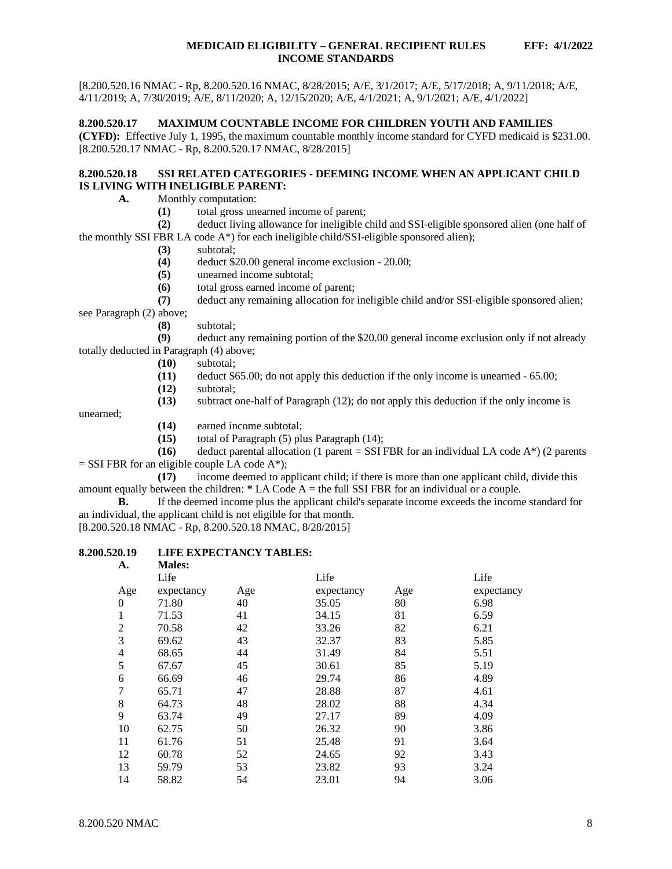# <span id="page-8-0"></span>**8.200.520.17 MAXIMUM COUNTABLE INCOME FOR CHILDREN YOUTH AND FAMILIES**

**(CYFD):** Effective July 1, 1995, the maximum countable monthly income standard for CYFD medicaid is \$231.00. [8.200.520.17 NMAC - Rp, 8.200.520.17 NMAC, 8/28/2015]

# <span id="page-8-1"></span>**8.200.520.18 SSI RELATED CATEGORIES - DEEMING INCOME WHEN AN APPLICANT CHILD IS LIVING WITH INELIGIBLE PARENT:**

**A.** Monthly computation:

**(1)** total gross unearned income of parent;

**(2)** deduct living allowance for ineligible child and SSI-eligible sponsored alien (one half of the monthly SSI FBR LA code  $A^*$ ) for each ineligible child/SSI-eligible sponsored alien);

- **(3)** subtotal;
- **(4)** deduct \$20.00 general income exclusion 20.00;
- **(5)** unearned income subtotal;
- **(6)** total gross earned income of parent;

**(7)** deduct any remaining allocation for ineligible child and/or SSI-eligible sponsored alien;

see Paragraph (2) above;

**(8)** subtotal;

deduct any remaining portion of the \$20.00 general income exclusion only if not already totally deducted in Paragraph (4) above;

- **(10)** subtotal;
- **(11)** deduct \$65.00; do not apply this deduction if the only income is unearned 65.00;
- **(12)** subtotal;
- **(13)** subtract one-half of Paragraph (12); do not apply this deduction if the only income is

unearned;

- **(14)** earned income subtotal;
- **(15)** total of Paragraph (5) plus Paragraph (14);

**(16)** deduct parental allocation (1 parent = SSI FBR for an individual LA code  $A^*$ ) (2 parents  $=$  SSI FBR for an eligible couple LA code A\*);

**(17)** income deemed to applicant child; if there is more than one applicant child, divide this amount equally between the children: **\*** LA Code A = the full SSI FBR for an individual or a couple.

**B.** If the deemed income plus the applicant child's separate income exceeds the income standard for an individual, the applicant child is not eligible for that month.

[8.200.520.18 NMAC - Rp, 8.200.520.18 NMAC, 8/28/2015]

#### <span id="page-8-2"></span>**8.200.520.19 LIFE EXPECTANCY TABLES: A. Males:**

| .                | 1110163.   |     |            |     |            |
|------------------|------------|-----|------------|-----|------------|
|                  | Life       |     | Life       |     | Life       |
| Age              | expectancy | Age | expectancy | Age | expectancy |
| $\boldsymbol{0}$ | 71.80      | 40  | 35.05      | 80  | 6.98       |
| 1                | 71.53      | 41  | 34.15      | 81  | 6.59       |
| $\overline{2}$   | 70.58      | 42  | 33.26      | 82  | 6.21       |
| 3                | 69.62      | 43  | 32.37      | 83  | 5.85       |
| $\overline{4}$   | 68.65      | 44  | 31.49      | 84  | 5.51       |
| 5                | 67.67      | 45  | 30.61      | 85  | 5.19       |
| 6                | 66.69      | 46  | 29.74      | 86  | 4.89       |
| 7                | 65.71      | 47  | 28.88      | 87  | 4.61       |
| 8                | 64.73      | 48  | 28.02      | 88  | 4.34       |
| 9                | 63.74      | 49  | 27.17      | 89  | 4.09       |
| 10               | 62.75      | 50  | 26.32      | 90  | 3.86       |
| 11               | 61.76      | 51  | 25.48      | 91  | 3.64       |
| 12               | 60.78      | 52  | 24.65      | 92  | 3.43       |
| 13               | 59.79      | 53  | 23.82      | 93  | 3.24       |
| 14               | 58.82      | 54  | 23.01      | 94  | 3.06       |
|                  |            |     |            |     |            |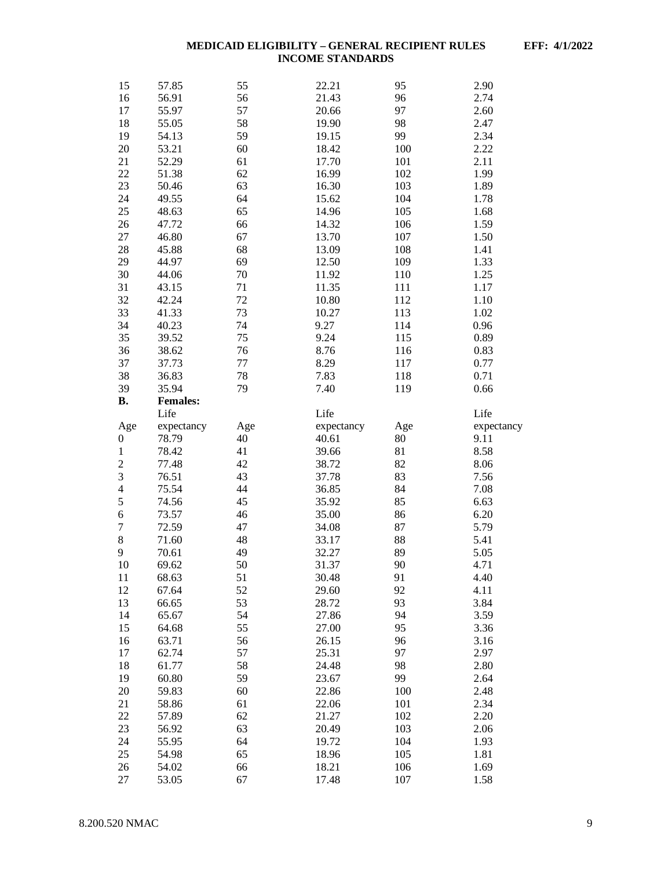| 15               | 57.85           | 55       | 22.21          | 95         | 2.90         |
|------------------|-----------------|----------|----------------|------------|--------------|
| 16               | 56.91           | 56       | 21.43          | 96         | 2.74         |
| 17               | 55.97           | 57       | 20.66          | 97         | 2.60         |
| 18               | 55.05           | 58       | 19.90          | 98         | 2.47         |
| 19               | 54.13           | 59       | 19.15          | 99         | 2.34         |
| 20               | 53.21           | 60       | 18.42          | 100        | 2.22         |
| 21               |                 | 61       | 17.70          | 101        | 2.11         |
|                  | 52.29           |          |                |            |              |
| 22               | 51.38           | 62       | 16.99          | 102        | 1.99         |
| 23               | 50.46           | 63       | 16.30          | 103        | 1.89         |
| 24               | 49.55           | 64       | 15.62          | 104        | 1.78         |
| 25               | 48.63           | 65       | 14.96          | 105        | 1.68         |
| 26               | 47.72           | 66       | 14.32          | 106        | 1.59         |
| 27               | 46.80           | 67       | 13.70          | 107        | 1.50         |
| 28               | 45.88           | 68       | 13.09          | 108        | 1.41         |
| 29               | 44.97           | 69       | 12.50          | 109        | 1.33         |
| 30               | 44.06           | 70       | 11.92          | 110        | 1.25         |
| 31               | 43.15           | 71       | 11.35          | 111        | 1.17         |
| 32               | 42.24           | 72       | 10.80          | 112        | 1.10         |
| 33               | 41.33           | 73       | 10.27          | 113        | 1.02         |
| 34               | 40.23           | 74       | 9.27           | 114        | 0.96         |
| 35               | 39.52           | 75       | 9.24           | 115        | 0.89         |
| 36               | 38.62           | 76       | 8.76           | 116        | 0.83         |
| 37               | 37.73           | 77       | 8.29           | 117        | 0.77         |
|                  |                 |          |                |            |              |
| 38               | 36.83           | 78       | 7.83           | 118        | 0.71         |
| 39               | 35.94           | 79       | 7.40           | 119        | 0.66         |
| <b>B.</b>        | <b>Females:</b> |          |                |            |              |
|                  | Life            |          | Life           |            | Life         |
| Age              | expectancy      | Age      | expectancy     | Age        | expectancy   |
| $\boldsymbol{0}$ | 78.79           | 40       | 40.61          | 80         | 9.11         |
| $\mathbf{1}$     | 78.42           | 41       | 39.66          | 81         | 8.58         |
| $\overline{c}$   | 77.48           | 42       | 38.72          | 82         | 8.06         |
| 3                | 76.51           | 43       | 37.78          | 83         | 7.56         |
| $\overline{4}$   | 75.54           | 44       | 36.85          | 84         | 7.08         |
| 5                | 74.56           | 45       | 35.92          | 85         | 6.63         |
| $\sqrt{6}$       | 73.57           | 46       | 35.00          | 86         | 6.20         |
| $\boldsymbol{7}$ | 72.59           | 47       | 34.08          | 87         | 5.79         |
| $\,$ 8 $\,$      | 71.60           | 48       | 33.17          | 88         | 5.41         |
| 9                | 70.61           | 49       | 32.27          | 89         | 5.05         |
| 10               | 69.62           | 50       | 31.37          | 90         | 4.71         |
| 11               | 68.63           | 51       | 30.48          | 91         | 4.40         |
| 12               | 67.64           | 52       | 29.60          | 92         | 4.11         |
| 13               | 66.65           | 53       | 28.72          | 93         | 3.84         |
| 14               | 65.67           | 54       | 27.86          | 94         | 3.59         |
|                  |                 | 55       |                |            |              |
| 15               | 64.68           |          | 27.00          | 95         | 3.36         |
| 16               | 63.71           | 56       | 26.15          | 96         | 3.16         |
| 17               | 62.74           | 57       | 25.31          | 97         | 2.97         |
| 18               | 61.77           | 58       | 24.48          | 98         | 2.80         |
| 19               | 60.80           | 59       | 23.67          | 99         | 2.64         |
| 20               | 59.83           | 60       | 22.86          | 100        | 2.48         |
| 21               | 58.86           | 61       | 22.06          | 101        | 2.34         |
| 22               | 57.89           | 62       | 21.27          | 102        | 2.20         |
| 23               | 56.92           | 63       | 20.49          | 103        | 2.06         |
| 24               | 55.95           | 64       | 19.72          | 104        | 1.93         |
| $25\,$           | 54.98           | 65       | 18.96          | 105        | 1.81         |
|                  |                 |          |                |            |              |
|                  |                 |          |                |            |              |
| 26<br>27         | 54.02<br>53.05  | 66<br>67 | 18.21<br>17.48 | 106<br>107 | 1.69<br>1.58 |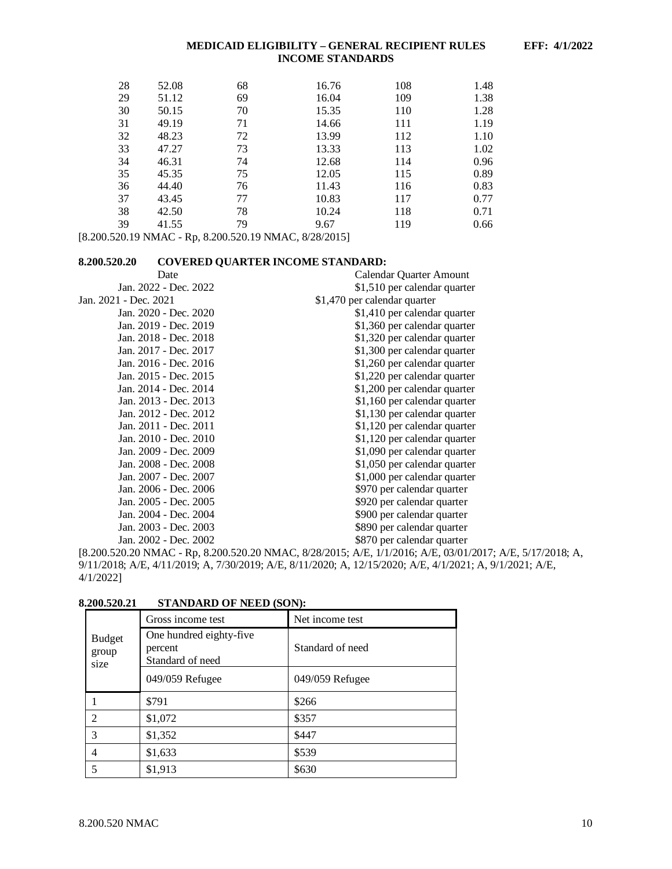| 28 | 52.08 | 68 | 16.76 | 108 | 1.48 |
|----|-------|----|-------|-----|------|
| 29 | 51.12 | 69 | 16.04 | 109 | 1.38 |
| 30 | 50.15 | 70 | 15.35 | 110 | 1.28 |
| 31 | 49.19 | 71 | 14.66 | 111 | 1.19 |
| 32 | 48.23 | 72 | 13.99 | 112 | 1.10 |
| 33 | 47.27 | 73 | 13.33 | 113 | 1.02 |
| 34 | 46.31 | 74 | 12.68 | 114 | 0.96 |
| 35 | 45.35 | 75 | 12.05 | 115 | 0.89 |
| 36 | 44.40 | 76 | 11.43 | 116 | 0.83 |
| 37 | 43.45 | 77 | 10.83 | 117 | 0.77 |
| 38 | 42.50 | 78 | 10.24 | 118 | 0.71 |
| 39 | 41.55 | 79 | 9.67  | 119 | 0.66 |

[8.200.520.19 NMAC - Rp, 8.200.520.19 NMAC, 8/28/2015]

# <span id="page-10-0"></span>**8.200.520.20 COVERED QUARTER INCOME STANDARD:**

| Date                  | Calendar Quarter Amount      |
|-----------------------|------------------------------|
| Jan. 2022 - Dec. 2022 | \$1,510 per calendar quarter |
| Jan. 2021 - Dec. 2021 | \$1,470 per calendar quarter |
| Jan. 2020 - Dec. 2020 | \$1,410 per calendar quarter |
| Jan. 2019 - Dec. 2019 | \$1,360 per calendar quarter |
| Jan. 2018 - Dec. 2018 | \$1,320 per calendar quarter |
| Jan. 2017 - Dec. 2017 | \$1,300 per calendar quarter |
| Jan. 2016 - Dec. 2016 | \$1,260 per calendar quarter |
| Jan. 2015 - Dec. 2015 | \$1,220 per calendar quarter |
| Jan. 2014 - Dec. 2014 | \$1,200 per calendar quarter |
| Jan. 2013 - Dec. 2013 | \$1,160 per calendar quarter |
| Jan. 2012 - Dec. 2012 | \$1,130 per calendar quarter |
| Jan. 2011 - Dec. 2011 | \$1,120 per calendar quarter |
| Jan. 2010 - Dec. 2010 | \$1,120 per calendar quarter |
| Jan. 2009 - Dec. 2009 | \$1,090 per calendar quarter |
| Jan. 2008 - Dec. 2008 | \$1,050 per calendar quarter |
| Jan. 2007 - Dec. 2007 | \$1,000 per calendar quarter |
| Jan. 2006 - Dec. 2006 | \$970 per calendar quarter   |
| Jan. 2005 - Dec. 2005 | \$920 per calendar quarter   |
| Jan. 2004 - Dec. 2004 | \$900 per calendar quarter   |
| Jan. 2003 - Dec. 2003 | \$890 per calendar quarter   |
| Jan. 2002 - Dec. 2002 | \$870 per calendar quarter   |

[8.200.520.20 NMAC - Rp, 8.200.520.20 NMAC, 8/28/2015; A/E, 1/1/2016; A/E, 03/01/2017; A/E, 5/17/2018; A, 9/11/2018; A/E, 4/11/2019; A, 7/30/2019; A/E, 8/11/2020; A, 12/15/2020; A/E, 4/1/2021; A, 9/1/2021; A/E, 4/1/2022]

|                                | Gross income test                                      | Net income test  |
|--------------------------------|--------------------------------------------------------|------------------|
| <b>Budget</b><br>group<br>size | One hundred eighty-five<br>percent<br>Standard of need | Standard of need |
|                                | 049/059 Refugee                                        | 049/059 Refugee  |
|                                | \$791                                                  | \$266            |
| 2                              | \$1,072                                                | \$357            |
| 3                              | \$1,352                                                | \$447            |
| 4                              | \$1,633                                                | \$539            |
| 5                              | \$1,913                                                | \$630            |

<span id="page-10-1"></span>**8.200.520.21 STANDARD OF NEED (SON):**